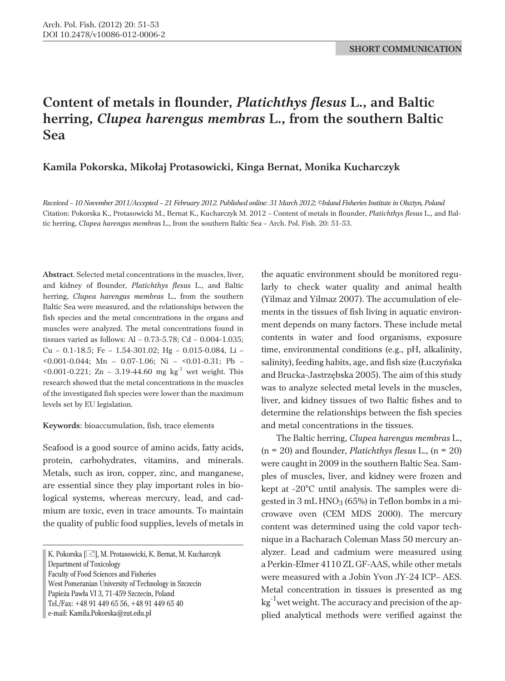## **Content of metals in flounder,** *Platichthys flesus* **L., and Baltic herring,** *Clupea harengus membras* **L., from the southern Baltic Sea**

## **Kamila Pokorska, Miko³aj Protasowicki, Kinga Bernat, Monika Kucharczyk**

*Received – 10 November 2011/Accepted – 21 February 2012. Published online: 31 March 2012; ©Inland Fisheries Institute in Olsztyn, Poland* Citation: Pokorska K., Protasowicki M., Bernat K., Kucharczyk M. 2012 – Content of metals in flounder, *Platichthys flesus* L., and Baltic herring, *Clupea harengus membras* L., from the southern Baltic Sea – Arch. Pol. Fish. 20: 51-53.

**Abstract**. Selected metal concentrations in the muscles, liver, and kidney of flounder, *Platichthys flesus* L., and Baltic herring, *Clupea harengus membras* L., from the southern Baltic Sea were measured, and the relationships between the fish species and the metal concentrations in the organs and muscles were analyzed. The metal concentrations found in tissues varied as follows: Al – 0.73-5.78; Cd – 0.004-1.035; Cu – 0.1-18.5; Fe – 1.54-301.02; Hg – 0.015-0.084, Li – <0.001-0.044; Mn – 0.07-1.06; Ni – <0.01-0.31; Pb –  $\leq 0.001 - 0.221$ ; Zn – 3.19-44.60 mg kg<sup>-1</sup> wet weight. This research showed that the metal concentrations in the muscles of the investigated fish species were lower than the maximum levels set by EU legislation.

## **Keywords**: bioaccumulation, fish, trace elements

Seafood is a good source of amino acids, fatty acids, protein, carbohydrates, vitamins, and minerals. Metals, such as iron, copper, zinc, and manganese, are essential since they play important roles in biological systems, whereas mercury, lead, and cadmium are toxic, even in trace amounts. To maintain the quality of public food supplies, levels of metals in

Department of Toxicology

Tel./Fax: +48 91 449 65 56, +48 91 449 65 40

the aquatic environment should be monitored regularly to check water quality and animal health (Yilmaz and Yilmaz 2007). The accumulation of elements in the tissues of fish living in aquatic environment depends on many factors. These include metal contents in water and food organisms, exposure time, environmental conditions (e.g., pH, alkalinity, salinity), feeding habits, age, and fish size (£uczyñska and Brucka-Jastrzębska 2005). The aim of this study was to analyze selected metal levels in the muscles, liver, and kidney tissues of two Baltic fishes and to determine the relationships between the fish species and metal concentrations in the tissues.

The Baltic herring, *Clupea harengus membras* L., (n = 20) and flounder, *Platichthys flesus* L., (n = 20) were caught in 2009 in the southern Baltic Sea. Samples of muscles, liver, and kidney were frozen and kept at -20°C until analysis. The samples were digested in  $3 \text{ mL HNO}_3$  (65%) in Teflon bombs in a microwave oven (CEM MDS 2000). The mercury content was determined using the cold vapor technique in a Bacharach Coleman Mass 50 mercury analyzer. Lead and cadmium were measured using a Perkin-Elmer 4110 ZL GF-AAS, while other metals were measured with a Jobin Yvon JY-24 ICP– AES. Metal concentration in tissues is presented as mg  $kg^{-1}$  wet weight. The accuracy and precision of the applied analytical methods were verified against the

K. Pokorska [ $\equiv$ ], M. Protasowicki, K. Bernat, M. Kucharczyk

Faculty of Food Sciences and Fisheries

West Pomeranian University of Technology in Szczecin

Papieża Pawła VI 3, 71-459 Szczecin, Poland

e-mail: Kamila.Pokorska@zut.edu.pl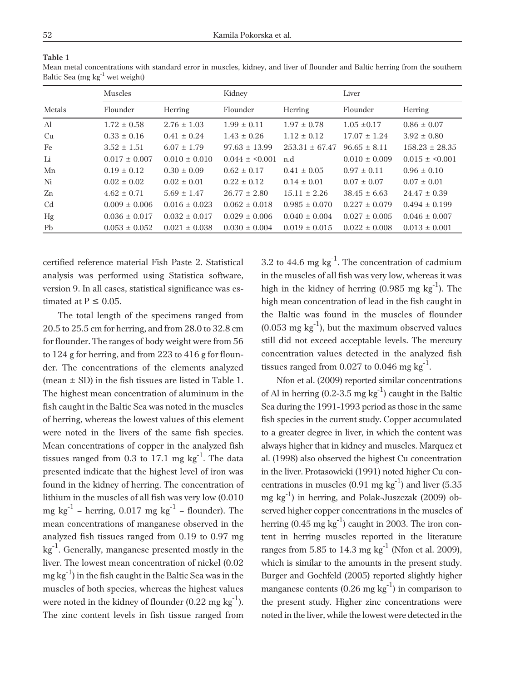**Table 1**

| $m_{\rm max}$ over $m_{\rm max}$<br>00 1000 |                   |                   |                   |                    |                   |                    |
|---------------------------------------------|-------------------|-------------------|-------------------|--------------------|-------------------|--------------------|
|                                             | Muscles           |                   | Kidney            |                    | Liver             |                    |
| Metals                                      | Flounder          | Herring           | Flounder          | Herring            | Flounder          | Herring            |
| Al                                          | $1.72 \pm 0.58$   | $2.76 \pm 1.03$   | $1.99 \pm 0.11$   | $1.97 \pm 0.78$    | $1.05 \pm 0.17$   | $0.86 \pm 0.07$    |
| Cu                                          | $0.33 \pm 0.16$   | $0.41 \pm 0.24$   | $1.43 \pm 0.26$   | $1.12 \pm 0.12$    | $17.07 \pm 1.24$  | $3.92 \pm 0.80$    |
| Fe                                          | $3.52 \pm 1.51$   | $6.07 \pm 1.79$   | $97.63 \pm 13.99$ | $253.31 \pm 67.47$ | $96.65 \pm 8.11$  | $158.23 \pm 28.35$ |
| Li                                          | $0.017 \pm 0.007$ | $0.010 \pm 0.010$ | $0.044 \pm 0.001$ | n.d                | $0.010 \pm 0.009$ | $0.015 \pm 0.001$  |
| Mn                                          | $0.19 \pm 0.12$   | $0.30 \pm 0.09$   | $0.62 \pm 0.17$   | $0.41 \pm 0.05$    | $0.97 \pm 0.11$   | $0.96 \pm 0.10$    |
| Ni                                          | $0.02 \pm 0.02$   | $0.02 \pm 0.01$   | $0.22 \pm 0.12$   | $0.14 \pm 0.01$    | $0.07 \pm 0.07$   | $0.07 \pm 0.01$    |
| Zn                                          | $4.62 \pm 0.71$   | $5.69 \pm 1.47$   | $26.77 \pm 2.80$  | $15.11 \pm 2.26$   | $38.45 \pm 6.63$  | $24.47 \pm 0.39$   |
| Cd                                          | $0.009 \pm 0.006$ | $0.016 \pm 0.023$ | $0.062 \pm 0.018$ | $0.985 \pm 0.070$  | $0.227 \pm 0.079$ | $0.494 \pm 0.199$  |
| Hg                                          | $0.036 \pm 0.017$ | $0.032 \pm 0.017$ | $0.029 \pm 0.006$ | $0.040 \pm 0.004$  | $0.027 \pm 0.005$ | $0.046 \pm 0.007$  |
|                                             |                   |                   |                   |                    |                   |                    |

Pb  $0.053 \pm 0.052$   $0.021 \pm 0.038$   $0.030 \pm 0.004$   $0.019 \pm 0.015$   $0.022 \pm 0.008$   $0.013 \pm 0.001$ 

Mean metal concentrations with standard error in muscles, kidney, and liver of flounder and Baltic herring from the southern Baltic Sea (mg kg-1 wet weight)

certified reference material Fish Paste 2. Statistical analysis was performed using Statistica software, version 9. In all cases, statistical significance was estimated at  $P \leq 0.05$ .

The total length of the specimens ranged from 20.5 to 25.5 cm for herring, and from 28.0 to 32.8 cm for flounder. The ranges of body weight were from 56 to 124 g for herring, and from 223 to 416 g for flounder. The concentrations of the elements analyzed (mean  $\pm$  SD) in the fish tissues are listed in Table 1. The highest mean concentration of aluminum in the fish caught in the Baltic Sea was noted in the muscles of herring, whereas the lowest values of this element were noted in the livers of the same fish species. Mean concentrations of copper in the analyzed fish tissues ranged from 0.3 to 17.1 mg  $kg^{-1}$ . The data presented indicate that the highest level of iron was found in the kidney of herring. The concentration of lithium in the muscles of all fish was very low (0.010 mg kg<sup>-1</sup> – herring, 0.017 mg kg<sup>-1</sup> – flounder). The mean concentrations of manganese observed in the analyzed fish tissues ranged from 0.19 to 0.97 mg kg-1. Generally, manganese presented mostly in the liver. The lowest mean concentration of nickel (0.02  $mg \, kg^{-1}$ ) in the fish caught in the Baltic Sea was in the muscles of both species, whereas the highest values were noted in the kidney of flounder  $(0.22 \text{ mg kg}^{-1})$ . The zinc content levels in fish tissue ranged from

3.2 to 44.6 mg  $kg^{-1}$ . The concentration of cadmium in the muscles of all fish was very low, whereas it was high in the kidney of herring  $(0.985 \text{ mg kg}^{-1})$ . The high mean concentration of lead in the fish caught in the Baltic was found in the muscles of flounder  $(0.053 \text{ mg kg}^{-1})$ , but the maximum observed values still did not exceed acceptable levels. The mercury concentration values detected in the analyzed fish tissues ranged from  $0.027$  to  $0.046$  mg kg<sup>-1</sup>.

Nfon et al. (2009) reported similar concentrations of Al in herring  $(0.2-3.5 \text{ mg kg}^{-1})$  caught in the Baltic Sea during the 1991-1993 period as those in the same fish species in the current study. Copper accumulated to a greater degree in liver, in which the content was always higher that in kidney and muscles. Marquez et al. (1998) also observed the highest Cu concentration in the liver. Protasowicki (1991) noted higher Cu concentrations in muscles  $(0.91 \text{ mg kg}^{-1})$  and liver  $(5.35$ mg  $kg^{-1}$ ) in herring, and Polak-Juszczak (2009) observed higher copper concentrations in the muscles of herring  $(0.45 \text{ mg kg}^{-1})$  caught in 2003. The iron content in herring muscles reported in the literature ranges from 5.85 to 14.3 mg  $kg^{-1}$  (Nfon et al. 2009), which is similar to the amounts in the present study. Burger and Gochfeld (2005) reported slightly higher manganese contents  $(0.26 \text{ mg kg}^{-1})$  in comparison to the present study. Higher zinc concentrations were noted in the liver, while the lowest were detected in the